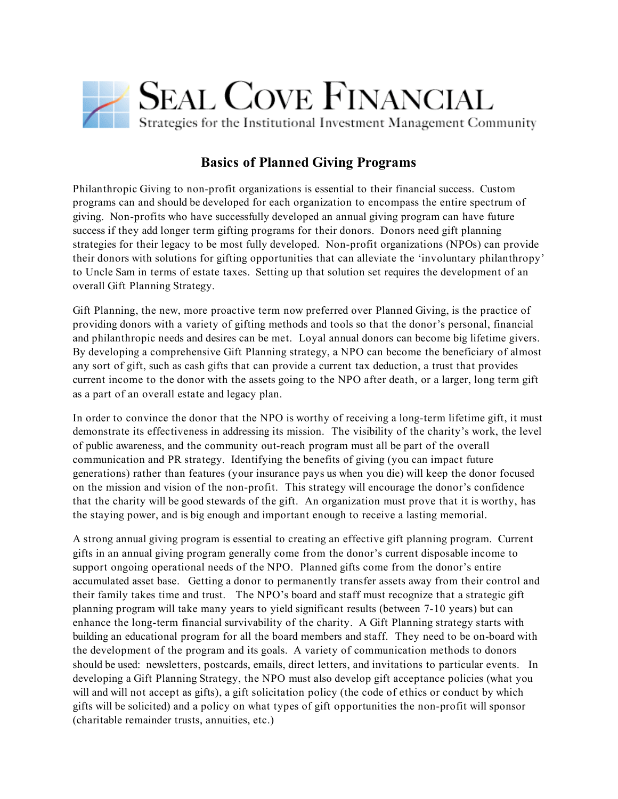

## **Basics of Planned Giving Programs**

Philanthropic Giving to non-profit organizations is essential to their financial success. Custom programs can and should be developed for each organization to encompass the entire spectrum of giving. Non-profits who have successfully developed an annual giving program can have future success if they add longer term gifting programs for their donors. Donors need gift planning strategies for their legacy to be most fully developed. Non-profit organizations (NPOs) can provide their donors with solutions for gifting opportunities that can alleviate the 'involuntary philanthropy' to Uncle Sam in terms of estate taxes. Setting up that solution set requires the development of an overall Gift Planning Strategy.

Gift Planning, the new, more proactive term now preferred over Planned Giving, is the practice of providing donors with a variety of gifting methods and tools so that the donor's personal, financial and philanthropic needs and desires can be met. Loyal annual donors can become big lifetime givers. By developing a comprehensive Gift Planning strategy, a NPO can become the beneficiary of almost any sort of gift, such as cash gifts that can provide a current tax deduction, a trust that provides current income to the donor with the assets going to the NPO after death, or a larger, long term gift as a part of an overall estate and legacy plan.

In order to convince the donor that the NPO is worthy of receiving a long-term lifetime gift, it must demonstrate its effectiveness in addressing its mission. The visibility of the charity's work, the level of public awareness, and the community out-reach program must all be part of the overall communication and PR strategy. Identifying the benefits of giving (you can impact future generations) rather than features (your insurance pays us when you die) will keep the donor focused on the mission and vision of the non-profit. This strategy will encourage the donor's confidence that the charity will be good stewards of the gift. An organization must prove that it is worthy, has the staying power, and is big enough and important enough to receive a lasting memorial.

A strong annual giving program is essential to creating an effective gift planning program. Current gifts in an annual giving program generally come from the donor's current disposable income to support ongoing operational needs of the NPO. Planned gifts come from the donor's entire accumulated asset base. Getting a donor to permanently transfer assets away from their control and their family takes time and trust. The NPO's board and staff must recognize that a strategic gift planning program will take many years to yield significant results (between 7-10 years) but can enhance the long-term financial survivability of the charity. A Gift Planning strategy starts with building an educational program for all the board members and staff. They need to be on-board with the development of the program and its goals. A variety of communication methods to donors should be used: newsletters, postcards, emails, direct letters, and invitations to particular events. In developing a Gift Planning Strategy, the NPO must also develop gift acceptance policies (what you will and will not accept as gifts), a gift solicitation policy (the code of ethics or conduct by which gifts will be solicited) and a policy on what types of gift opportunities the non-profit will sponsor (charitable remainder trusts, annuities, etc.)